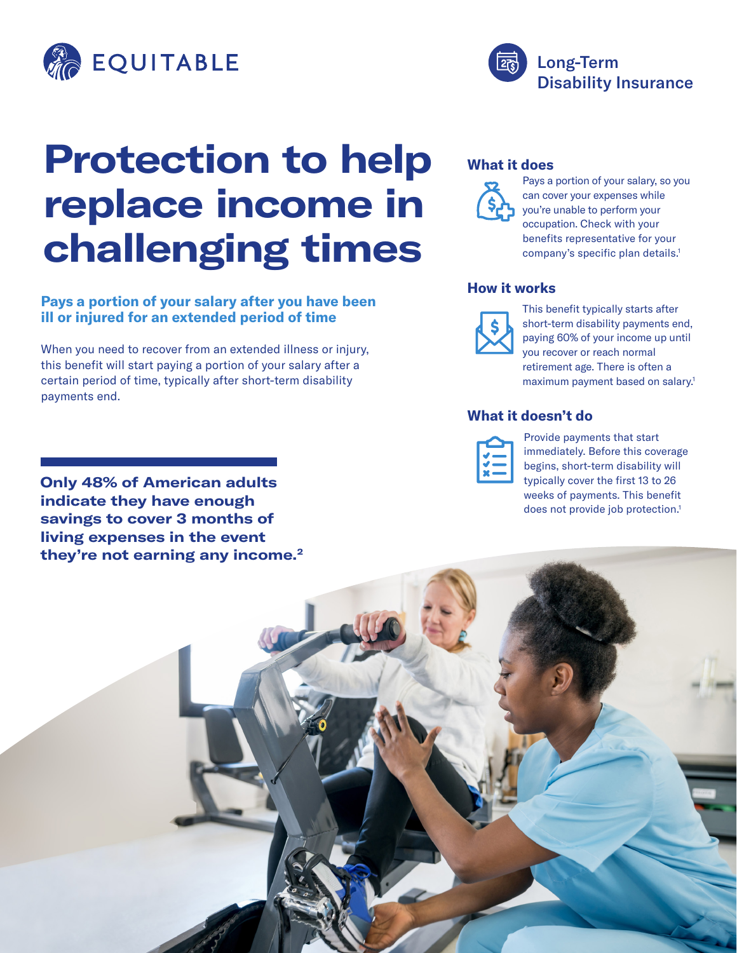

# **Protection to help replace income in challenging times**

### **Pays a portion of your salary after you have been ill or injured for an extended period of time**

When you need to recover from an extended illness or injury, this benefit will start paying a portion of your salary after a certain period of time, typically after short-term disability payments end.

**Only 48% of American adults indicate they have enough savings to cover 3 months of living expenses in the event they're not earning any income.2**

### **What it does**



Pays a portion of your salary, so you can cover your expenses while you're unable to perform your occupation. Check with your benefits representative for your company's specific plan details.<sup>1</sup>

Disability Insurance

Long-Term

#### **How it works**



This benefit typically starts after short-term disability payments end, paying 60% of your income up until you recover or reach normal retirement age. There is often a maximum payment based on salary.1

## **What it doesn't do**

Provide payments that start immediately. Before this coverage begins, short-term disability will typically cover the first 13 to 26 weeks of payments. This benefit does not provide job protection.<sup>1</sup>